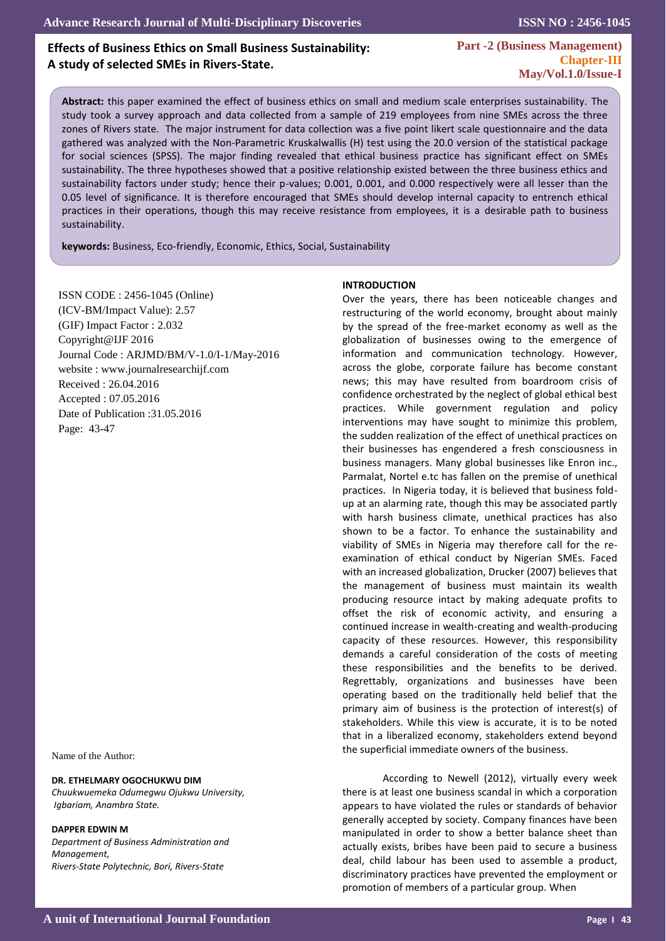# **Effects of Business Ethics on Small Business Sustainability: A study of selected SMEs in Rivers-State.**

**ISSN NO : 2456-1045**

**Part -2 (Business Management) Chapter-III May/Vol.1.0/Issue-I** 

**Abstract:** this paper examined the effect of business ethics on small and medium scale enterprises sustainability. The study took a survey approach and data collected from a sample of 219 employees from nine SMEs across the three zones of Rivers state. The major instrument for data collection was a five point likert scale questionnaire and the data gathered was analyzed with the Non-Parametric Kruskalwallis (H) test using the 20.0 version of the statistical package for social sciences (SPSS). The major finding revealed that ethical business practice has significant effect on SMEs sustainability. The three hypotheses showed that a positive relationship existed between the three business ethics and sustainability factors under study; hence their p-values; 0.001, 0.001, and 0.000 respectively were all lesser than the 0.05 level of significance. It is therefore encouraged that SMEs should develop internal capacity to entrench ethical practices in their operations, though this may receive resistance from employees, it is a desirable path to business sustainability.

**keywords:** Business, Eco-friendly, Economic, Ethics, Social, Sustainability

ISSN CODE : 2456-1045 (Online) (ICV-BM/Impact Value): 2.57 (GIF) Impact Factor : 2.032 Copyright@IJF 2016 Journal Code : ARJMD/BM/V-1.0/I-1/May-2016 website : www.journalresearchijf.com Received : 26.04.2016 Accepted : 07.05.2016 Date of Publication :31.05.2016 Page: 43-47

 $\mathbb{R}^2$ 

Name of the Author:

#### **DR. ETHELMARY OGOCHUKWU DIM**

*Chuukwuemeka Odumegwu Ojukwu University, Igbariam, Anambra State.*

#### **DAPPER EDWIN M**

*Department of Business Administration and Management, Rivers-State Polytechnic, Bori, Rivers-State*

#### **INTRODUCTION**

Over the years, there has been noticeable changes and restructuring of the world economy, brought about mainly by the spread of the free-market economy as well as the globalization of businesses owing to the emergence of information and communication technology. However, across the globe, corporate failure has become constant news; this may have resulted from boardroom crisis of confidence orchestrated by the neglect of global ethical best practices. While government regulation and policy interventions may have sought to minimize this problem, the sudden realization of the effect of unethical practices on their businesses has engendered a fresh consciousness in business managers. Many global businesses like Enron inc., Parmalat, Nortel e.tc has fallen on the premise of unethical practices. In Nigeria today, it is believed that business foldup at an alarming rate, though this may be associated partly with harsh business climate, unethical practices has also shown to be a factor. To enhance the sustainability and viability of SMEs in Nigeria may therefore call for the reexamination of ethical conduct by Nigerian SMEs. Faced with an increased globalization, Drucker (2007) believes that the management of business must maintain its wealth producing resource intact by making adequate profits to offset the risk of economic activity, and ensuring a continued increase in wealth-creating and wealth-producing capacity of these resources. However, this responsibility demands a careful consideration of the costs of meeting these responsibilities and the benefits to be derived. Regrettably, organizations and businesses have been operating based on the traditionally held belief that the primary aim of business is the protection of interest(s) of stakeholders. While this view is accurate, it is to be noted that in a liberalized economy, stakeholders extend beyond the superficial immediate owners of the business.

According to Newell (2012), virtually every week there is at least one business scandal in which a corporation appears to have violated the rules or standards of behavior generally accepted by society. Company finances have been manipulated in order to show a better balance sheet than actually exists, bribes have been paid to secure a business deal, child labour has been used to assemble a product, discriminatory practices have prevented the employment or promotion of members of a particular group. When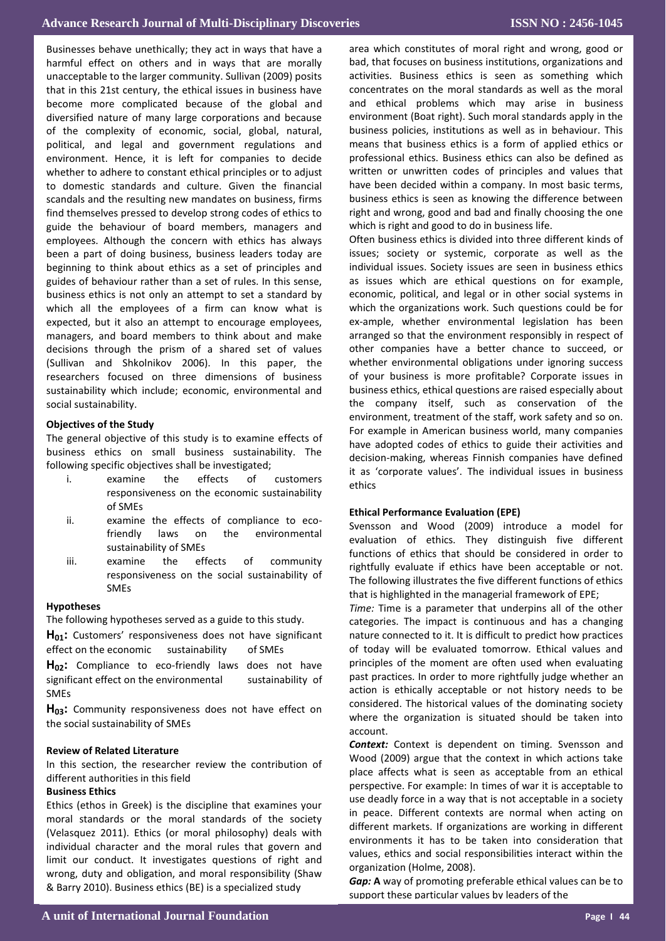**Figure Islams Construction** Construction Construction Construction Construction Construction Construction Const<br>Leader Construction Construction Construction Construction Construction Construction Construction Constructio harmful effect on others and in ways that are morally **PBL:-** unacceptable to the larger community. Sullivan (2009) posits guides of behaviour rather than a set of rules. In this sense, which all the employees of a firm can know what is managers, and board members to think about and make decisions through the prism of a shared set of values researchers focused on three dimensions of business **Fair course** 7 9.6 social sustainability. Businesses behave unethically; they act in ways that have a that in this 21st century, the ethical issues in business have become more complicated because of the global and diversified nature of many large corporations and because of the complexity of economic, social, global, natural, political, and legal and government regulations and environment. Hence, it is left for companies to decide whether to adhere to constant ethical principles or to adjust to domestic standards and culture. Given the financial scandals and the resulting new mandates on business, firms find themselves pressed to develop strong codes of ethics to guide the behaviour of board members, managers and employees. Although the concern with ethics has always been a part of doing business, business leaders today are beginning to think about ethics as a set of principles and business ethics is not only an attempt to set a standard by expected, but it also an attempt to encourage employees, (Sullivan and Shkolnikov 2006). In this paper, the sustainability which include; economic, environmental and

## **Objectives of the Study**

The general objective of this study is to examine effects of business ethics on small business sustainability. The following specific objectives shall be investigated;

- responsiveness on the economic sustainability i. examine the effects of customers of SMEs
	- **Student in Student in the environm** ii. examine the effects of compliance to ecofriendly laws on the environmental sustainability of SMEs
	- iii. examine the effects of responsiveness on the social sustainability of<br>SM*E*s community SMEs

## **Hypotheses**

The following hypotheses served as a guide to this study.<br>..

effect on the economic sustainability of SMEs **H01:** Customers' responsiveness does not have significant

**H<sub>02</sub>:** Compliance to eco-friendly laws does not have significant effect on the environmental sustainability of SMEs

**Table No (3) the student skills in application course**  the social sustainability of SMEs H<sub>03</sub>: Community responsiveness does not have effect on

### **Review of Related Literature**

In this section, the researcher review the contribution of different authorities in this field

### **Business Ethics**

Ethics (ethos in Greek) is the discipline that examines your moral standards or the moral standards of the society (Velasquez 2011). Ethics (or moral philosophy) deals with individual character and the moral rules that govern and limit our conduct. It investigates questions of right and wrong, duty and obligation, and moral responsibility (Shaw & Barry 2010). Business ethics (BE) is a specialized study

area which constitutes or moral-right and wrong, good or bad, that focuses on business institutions, organizations and activities. Business ethics is seen as something which concentrates on the moral standards as well as the moral and ethical problems which may arise in business and ethical problems which may arise in business<br>environment (Boat-right). Such-moral-standards-apply-in-the business policies, institutions as well as in behaviour. This means that basiness cames is a rorm or applied cames or<br>professional ethics. Business ethics can also be defined as written or unwritten codes of principles and values that have been decided within a company. In most basic terms, business ethics is seen as knowing the difference between right and wrong, good and bad and finally choosing the one which is right and good to do in business life. area which constitutes of moral right and wrong, good or means that business ethics is a form of applied ethics or

**Methodology & Material**  issues; society or systemic, corporate as well as the economic, political, and legal or in other social systems in research done at faculty of nursing Shendi January to which the organizations work. Such questions could be for ex-ample, whether environmental legislation has been arranged so that the environment responsibly in respect of other companies have a better chance to succeed, or whether environmental obligations under ignoring success<br>of your business is more profitable? Corporate issues in of your business is more promable: Corporate issues in version business ethics, ethical questions are raised especially about<br>... the company itself, such as conservation of the environment, treatment of the staff, work safety and so on.<br>-For example in American business world, many companies decision-making, whereas Finnish companies have defined it as 'corporate values'. The individual issues in business Often business ethics is divided into three different kinds of individual issues. Society issues are seen in business ethics as issues which are ethical questions on for example, whether environmental obligations under ignoring success have adopted codes of ethics to guide their activities and ethics

## **Ethical Performance Evaluation (EPE)**

evaluation of ethics. They distinguish five different functions of ethics that should be considered in order to rightfully evaluate if ethics have been acceptable or not. The following illustrates the five different functions of ethics that is highlighted in the managerial framework of EPE; Svensson and Wood (2009) introduce a model for

categories. The impact is continuous and has a changing nature connected to it. It is difficult to predict how practices of today will be evaluated tomorrow. Ethical values and principles of the moment are often used when evaluating pust proctices: in order to more righttain<sub>f</sub> judge whether an<br>action is ethically acceptable or not history needs to be dealer is emittany acceptable of the mistory needs to be considered. The historical values of the dominating society considered. The instancer values of the dominating society where the organization is situated should be taken into and the should be taken into *Time:* Time is a parameter that underpins all of the other past practices. In order to more rightfully judge whether an account.

accoant.<br>**Context:** Context is dependent on timing. Svensson and Wood (2009) argue that the context in which actions take place affects what is seen as acceptable from an ethical perspective. For example: In times of war it is acceptable to use deadly force in a way that is not acceptable in a society in peace. Different contexts are normal when acting on different markets. If organizations are working in different environments it has to be taken into consideration that values, ethics and social responsibilities interact within the organization (Holme, 2008).

*Gap:* **A** way of promoting preferable ethical values can be to support these particular values by leaders of the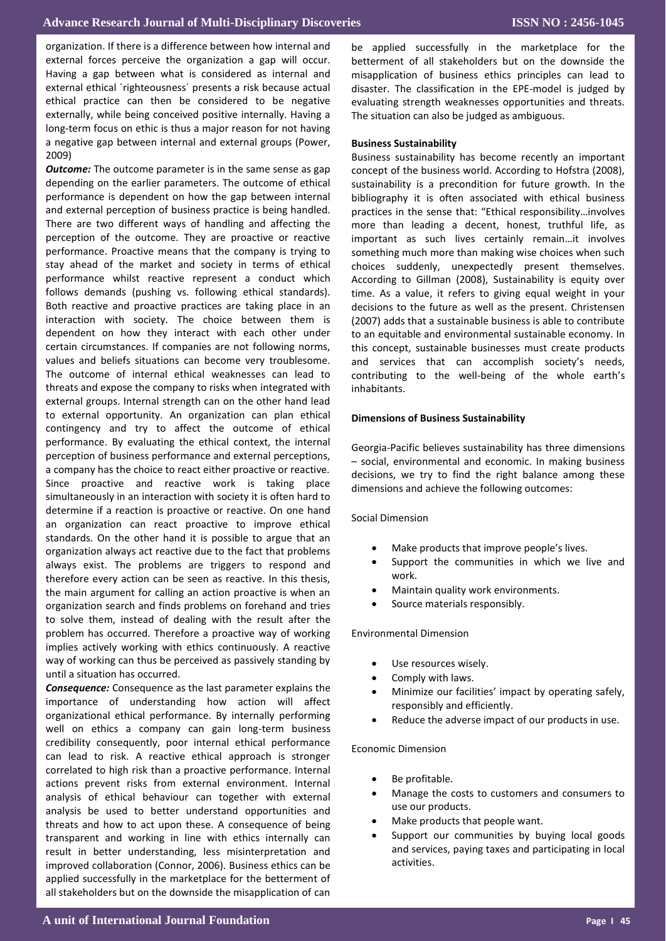organization. If there is a difference between how internal and external forces perceive the organization a gap will occur. Having a gap between what is considered as internal and external ethical ´righteousness´ presents a risk because actual ethical practice can then be considered to be negative externally, while being conceived positive internally. Having a long-term focus on ethic is thus a major reason for not having a negative gap between internal and external groups (Power, 2009)

*Outcome:* The outcome parameter is in the same sense as gap depending on the earlier parameters. The outcome of ethical performance is dependent on how the gap between internal and external perception of business practice is being handled. There are two different ways of handling and affecting the perception of the outcome. They are proactive or reactive performance. Proactive means that the company is trying to stay ahead of the market and society in terms of ethical performance whilst reactive represent a conduct which follows demands (pushing vs. following ethical standards). Both reactive and proactive practices are taking place in an interaction with society. The choice between them is dependent on how they interact with each other under certain circumstances. If companies are not following norms, values and beliefs situations can become very troublesome. The outcome of internal ethical weaknesses can lead to threats and expose the company to risks when integrated with external groups. Internal strength can on the other hand lead to external opportunity. An organization can plan ethical contingency and try to affect the outcome of ethical performance. By evaluating the ethical context, the internal perception of business performance and external perceptions, a company has the choice to react either proactive or reactive. Since proactive and reactive work is taking place simultaneously in an interaction with society it is often hard to determine if a reaction is proactive or reactive. On one hand an organization can react proactive to improve ethical standards. On the other hand it is possible to argue that an organization always act reactive due to the fact that problems always exist. The problems are triggers to respond and therefore every action can be seen as reactive. In this thesis, the main argument for calling an action proactive is when an organization search and finds problems on forehand and tries to solve them, instead of dealing with the result after the problem has occurred. Therefore a proactive way of working implies actively working with ethics continuously. A reactive way of working can thus be perceived as passively standing by until a situation has occurred.

*Consequence:* Consequence as the last parameter explains the importance of understanding how action will affect organizational ethical performance. By internally performing well on ethics a company can gain long-term business credibility consequently, poor internal ethical performance can lead to risk. A reactive ethical approach is stronger correlated to high risk than a proactive performance. Internal actions prevent risks from external environment. Internal analysis of ethical behaviour can together with external analysis be used to better understand opportunities and threats and how to act upon these. A consequence of being transparent and working in line with ethics internally can result in better understanding, less misinterpretation and improved collaboration (Connor, 2006). Business ethics can be applied successfully in the marketplace for the betterment of all stakeholders but on the downside the misapplication of can

be applied successfully in the marketplace for the betterment of all stakeholders but on the downside the misapplication of business ethics principles can lead to disaster. The classification in the EPE-model is judged by evaluating strength weaknesses opportunities and threats. The situation can also be judged as ambiguous.

#### **Business Sustainability**

Business sustainability has become recently an important concept of the business world. According to Hofstra (2008), sustainability is a precondition for future growth. In the bibliography it is often associated with ethical business practices in the sense that: "Ethical responsibility…involves more than leading a decent, honest, truthful life, as important as such lives certainly remain…it involves something much more than making wise choices when such choices suddenly, unexpectedly present themselves. According to Gillman (2008), Sustainability is equity over time. As a value, it refers to giving equal weight in your decisions to the future as well as the present. Christensen (2007) adds that a sustainable business is able to contribute to an equitable and environmental sustainable economy. In this concept, sustainable businesses must create products and services that can accomplish society's needs, contributing to the well-being of the whole earth's inhabitants.

### **Dimensions of Business Sustainability**

Georgia-Pacific believes sustainability has three dimensions – social, environmental and economic. In making business decisions, we try to find the right balance among these dimensions and achieve the following outcomes:

Social Dimension

- Make products that improve people's lives.
- Support the communities in which we live and work.
- Maintain quality work environments.
- Source materials responsibly.

Environmental Dimension

- Use resources wisely.
- Comply with laws.
- Minimize our facilities' impact by operating safely, responsibly and efficiently.
- Reduce the adverse impact of our products in use.

Economic Dimension

- Be profitable.
- Manage the costs to customers and consumers to use our products.
- Make products that people want.
- Support our communities by buying local goods and services, paying taxes and participating in local activities.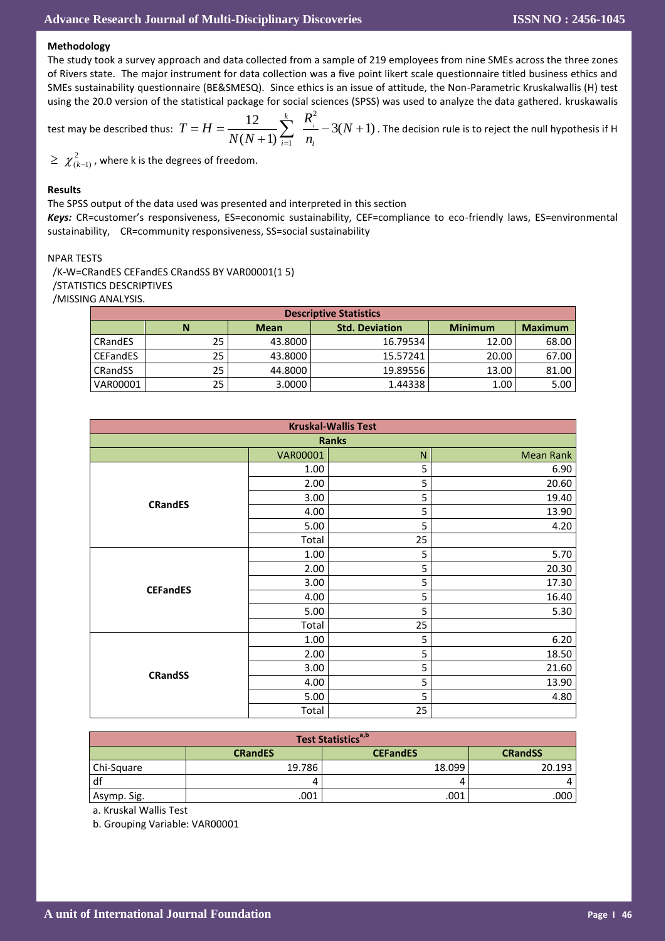### **Methodology**

The study took a survey approach and data collected from a sample of 219 employees from nine SMEs across the three zones of Rivers state. The major instrument for data collection was a five point likert scale questionnaire titled business ethics and SMEs sustainability questionnaire (BE&SMESQ). Since ethics is an issue of attitude, the Non-Parametric Kruskalwallis (H) test using the 20.0 version of the statistical package for social sciences (SPSS) was used to analyze the data gathered. kruskawalis

test may be described thus: 
$$
T = H = \frac{12}{N(N+1)} \sum_{i=1}^{k} \frac{R_i^2}{n_i} - 3(N+1)
$$
. The decision rule is to reject the null hypothesis if H

 $\geq \; \chi^2_{(k-1)}$  , where k is the degrees of freedom.

### **Results**

The SPSS output of the data used was presented and interpreted in this section

*Keys:* CR=customer's responsiveness, ES=economic sustainability, CEF=compliance to eco-friendly laws, ES=environmental sustainability, CR=community responsiveness, SS=social sustainability

### NPAR TESTS

 /K-W=CRandES CEFandES CRandSS BY VAR00001(1 5) /STATISTICS DESCRIPTIVES /MISSING ANALYSIS.

| <b>Descriptive Statistics</b> |    |             |                       |                |                |  |  |  |  |
|-------------------------------|----|-------------|-----------------------|----------------|----------------|--|--|--|--|
|                               | N  | <b>Mean</b> | <b>Std. Deviation</b> | <b>Minimum</b> | <b>Maximum</b> |  |  |  |  |
| <b>CRandES</b>                | 25 | 43.8000     | 16.79534              | 12.00          | 68.00          |  |  |  |  |
| <b>CEFandES</b>               | 25 | 43.8000     | 15.57241              | 20.00          | 67.00          |  |  |  |  |
| <b>CRandSS</b>                | 25 | 44.8000     | 19.89556              | 13.00          | 81.00          |  |  |  |  |
| VAR00001                      | 25 | 3.0000      | 1.44338               | 1.00           | 5.00           |  |  |  |  |

| <b>Kruskal-Wallis Test</b> |                 |    |                  |  |  |  |  |  |
|----------------------------|-----------------|----|------------------|--|--|--|--|--|
| <b>Ranks</b>               |                 |    |                  |  |  |  |  |  |
|                            | <b>VAR00001</b> | N  | <b>Mean Rank</b> |  |  |  |  |  |
|                            | 1.00            | 5  | 6.90             |  |  |  |  |  |
|                            | 2.00            | 5  | 20.60            |  |  |  |  |  |
| <b>CRandES</b>             | 3.00            | 5  | 19.40            |  |  |  |  |  |
|                            | 4.00            | 5  | 13.90            |  |  |  |  |  |
|                            | 5.00            | 5  | 4.20             |  |  |  |  |  |
|                            | Total           | 25 |                  |  |  |  |  |  |
|                            | 1.00            | 5  | 5.70             |  |  |  |  |  |
|                            | 2.00            | 5  | 20.30            |  |  |  |  |  |
| <b>CEFandES</b>            | 3.00            | 5  | 17.30            |  |  |  |  |  |
|                            | 4.00            | 5  | 16.40            |  |  |  |  |  |
|                            | 5.00            | 5  | 5.30             |  |  |  |  |  |
|                            | Total           | 25 |                  |  |  |  |  |  |
|                            | 1.00            | 5  | 6.20             |  |  |  |  |  |
|                            | 2.00            | 5  | 18.50            |  |  |  |  |  |
| <b>CRandSS</b>             | 3.00            | 5  | 21.60            |  |  |  |  |  |
|                            | 4.00            | 5  | 13.90            |  |  |  |  |  |
|                            | 5.00            | 5  | 4.80             |  |  |  |  |  |
|                            | Total           | 25 |                  |  |  |  |  |  |

| Test Statistics <sup>a,b</sup> |                |                 |                |  |  |  |  |  |
|--------------------------------|----------------|-----------------|----------------|--|--|--|--|--|
|                                | <b>CRandES</b> | <b>CEFandES</b> | <b>CRandSS</b> |  |  |  |  |  |
| Chi-Square                     | 19.786         | 18.099          | 20.193         |  |  |  |  |  |
| l df                           |                |                 | 4              |  |  |  |  |  |
| Asymp. Sig.                    | 001            | .001            | .000           |  |  |  |  |  |

a. Kruskal Wallis Test

b. Grouping Variable: VAR00001